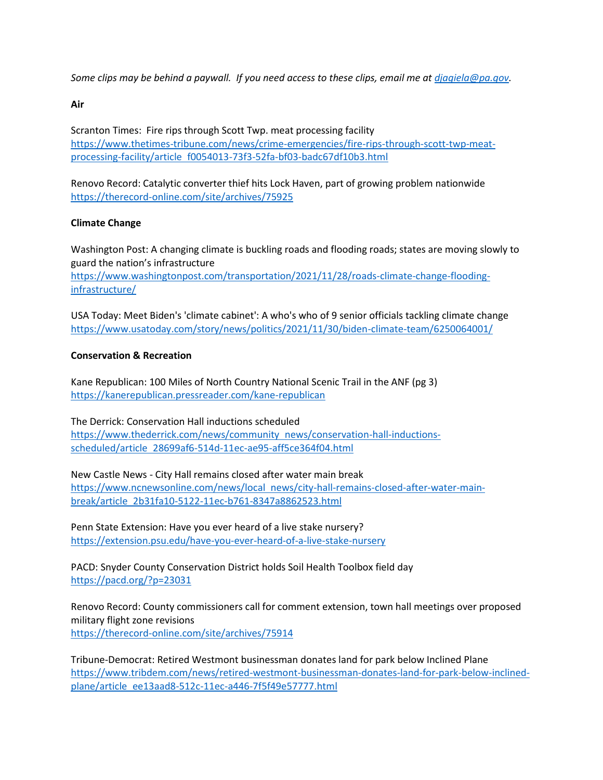*Some clips may be behind a paywall. If you need access to these clips, email me at djagiela@pa.gov.*

**Air**

Scranton Times: Fire rips through Scott Twp. meat processing facility https://www.thetimes-tribune.com/news/crime-emergencies/fire-rips-through-scott-twp-meatprocessing-facility/article f0054013-73f3-52fa-bf03-badc67df10b3.html

Renovo Record: Catalytic converter thief hits Lock Haven, part of growing problem nationwide https://therecord-online.com/site/archives/75925

# **Climate Change**

Washington Post: A changing climate is buckling roads and flooding roads; states are moving slowly to guard the nation's infrastructure https://www.washingtonpost.com/transportation/2021/11/28/roads-climate-change-floodinginfrastructure/

USA Today: Meet Biden's 'climate cabinet': A who's who of 9 senior officials tackling climate change https://www.usatoday.com/story/news/politics/2021/11/30/biden-climate-team/6250064001/

## **Conservation & Recreation**

Kane Republican: 100 Miles of North Country National Scenic Trail in the ANF (pg 3) https://kanerepublican.pressreader.com/kane-republican

The Derrick: Conservation Hall inductions scheduled https://www.thederrick.com/news/community news/conservation-hall-inductionsscheduled/article 28699af6-514d-11ec-ae95-aff5ce364f04.html

New Castle News - City Hall remains closed after water main break https://www.ncnewsonline.com/news/local news/city-hall-remains-closed-after-water-mainbreak/article 2b31fa10-5122-11ec-b761-8347a8862523.html

Penn State Extension: Have you ever heard of a live stake nursery? https://extension.psu.edu/have-you-ever-heard-of-a-live-stake-nursery

PACD: Snyder County Conservation District holds Soil Health Toolbox field day https://pacd.org/?p=23031

Renovo Record: County commissioners call for comment extension, town hall meetings over proposed military flight zone revisions https://therecord-online.com/site/archives/75914

Tribune-Democrat: Retired Westmont businessman donates land for park below Inclined Plane https://www.tribdem.com/news/retired-westmont-businessman-donates-land-for-park-below-inclinedplane/article ee13aad8-512c-11ec-a446-7f5f49e57777.html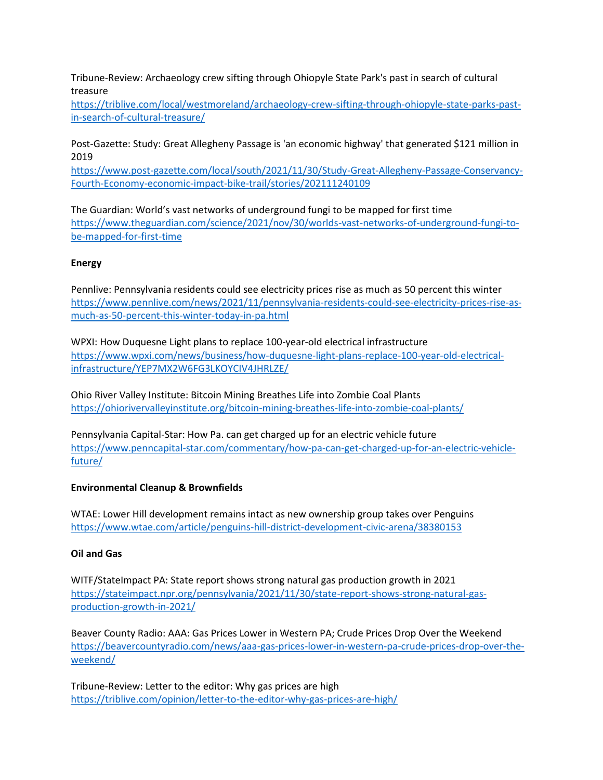Tribune-Review: Archaeology crew sifting through Ohiopyle State Park's past in search of cultural treasure

https://triblive.com/local/westmoreland/archaeology-crew-sifting-through-ohiopyle-state-parks-pastin-search-of-cultural-treasure/

Post-Gazette: Study: Great Allegheny Passage is 'an economic highway' that generated \$121 million in 2019

https://www.post-gazette.com/local/south/2021/11/30/Study-Great-Allegheny-Passage-Conservancy-Fourth-Economy-economic-impact-bike-trail/stories/202111240109

The Guardian: World's vast networks of underground fungi to be mapped for first time https://www.theguardian.com/science/2021/nov/30/worlds-vast-networks-of-underground-fungi-tobe-mapped-for-first-time

## **Energy**

Pennlive: Pennsylvania residents could see electricity prices rise as much as 50 percent this winter https://www.pennlive.com/news/2021/11/pennsylvania-residents-could-see-electricity-prices-rise-asmuch-as-50-percent-this-winter-today-in-pa.html

WPXI: How Duquesne Light plans to replace 100-year-old electrical infrastructure https://www.wpxi.com/news/business/how-duquesne-light-plans-replace-100-year-old-electricalinfrastructure/YEP7MX2W6FG3LKOYCIV4JHRLZE/

Ohio River Valley Institute: Bitcoin Mining Breathes Life into Zombie Coal Plants https://ohiorivervalleyinstitute.org/bitcoin-mining-breathes-life-into-zombie-coal-plants/

Pennsylvania Capital-Star: How Pa. can get charged up for an electric vehicle future https://www.penncapital-star.com/commentary/how-pa-can-get-charged-up-for-an-electric-vehiclefuture/

### **Environmental Cleanup & Brownfields**

WTAE: Lower Hill development remains intact as new ownership group takes over Penguins https://www.wtae.com/article/penguins-hill-district-development-civic-arena/38380153

### **Oil and Gas**

WITF/StateImpact PA: State report shows strong natural gas production growth in 2021 https://stateimpact.npr.org/pennsylvania/2021/11/30/state-report-shows-strong-natural-gasproduction-growth-in-2021/

Beaver County Radio: AAA: Gas Prices Lower in Western PA; Crude Prices Drop Over the Weekend https://beavercountyradio.com/news/aaa-gas-prices-lower-in-western-pa-crude-prices-drop-over-theweekend/

Tribune-Review: Letter to the editor: Why gas prices are high https://triblive.com/opinion/letter-to-the-editor-why-gas-prices-are-high/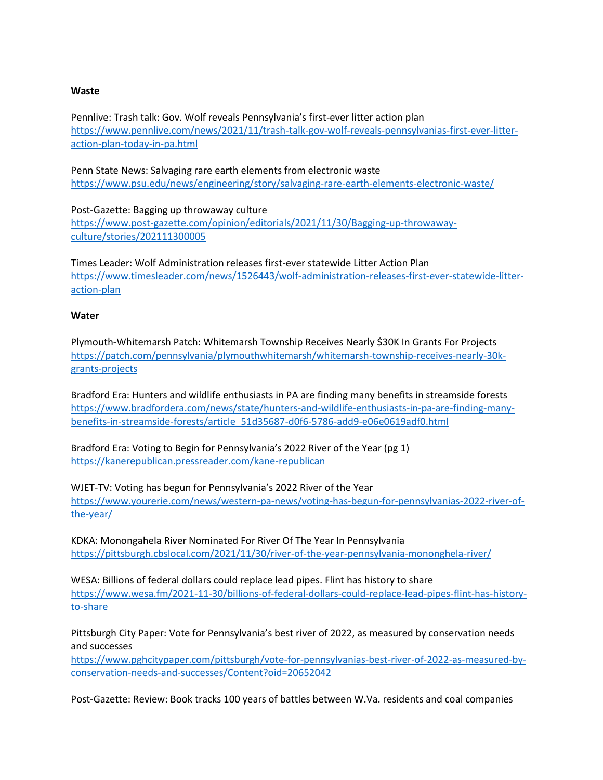#### **Waste**

Pennlive: Trash talk: Gov. Wolf reveals Pennsylvania's first-ever litter action plan https://www.pennlive.com/news/2021/11/trash-talk-gov-wolf-reveals-pennsylvanias-first-ever-litteraction-plan-today-in-pa.html

Penn State News: Salvaging rare earth elements from electronic waste https://www.psu.edu/news/engineering/story/salvaging-rare-earth-elements-electronic-waste/

Post-Gazette: Bagging up throwaway culture https://www.post-gazette.com/opinion/editorials/2021/11/30/Bagging-up-throwawayculture/stories/202111300005

Times Leader: Wolf Administration releases first-ever statewide Litter Action Plan https://www.timesleader.com/news/1526443/wolf-administration-releases-first-ever-statewide-litteraction-plan

#### **Water**

Plymouth-Whitemarsh Patch: Whitemarsh Township Receives Nearly \$30K In Grants For Projects https://patch.com/pennsylvania/plymouthwhitemarsh/whitemarsh-township-receives-nearly-30kgrants-projects

Bradford Era: Hunters and wildlife enthusiasts in PA are finding many benefits in streamside forests https://www.bradfordera.com/news/state/hunters-and-wildlife-enthusiasts-in-pa-are-finding-manybenefits-in-streamside-forests/article 51d35687-d0f6-5786-add9-e06e0619adf0.html

Bradford Era: Voting to Begin for Pennsylvania's 2022 River of the Year (pg 1) https://kanerepublican.pressreader.com/kane-republican

WJET-TV: Voting has begun for Pennsylvania's 2022 River of the Year https://www.yourerie.com/news/western-pa-news/voting-has-begun-for-pennsylvanias-2022-river-ofthe-year/

KDKA: Monongahela River Nominated For River Of The Year In Pennsylvania https://pittsburgh.cbslocal.com/2021/11/30/river-of-the-year-pennsylvania-mononghela-river/

WESA: Billions of federal dollars could replace lead pipes. Flint has history to share https://www.wesa.fm/2021-11-30/billions-of-federal-dollars-could-replace-lead-pipes-flint-has-historyto-share

Pittsburgh City Paper: Vote for Pennsylvania's best river of 2022, as measured by conservation needs and successes

https://www.pghcitypaper.com/pittsburgh/vote-for-pennsylvanias-best-river-of-2022-as-measured-byconservation-needs-and-successes/Content?oid=20652042

Post-Gazette: Review: Book tracks 100 years of battles between W.Va. residents and coal companies